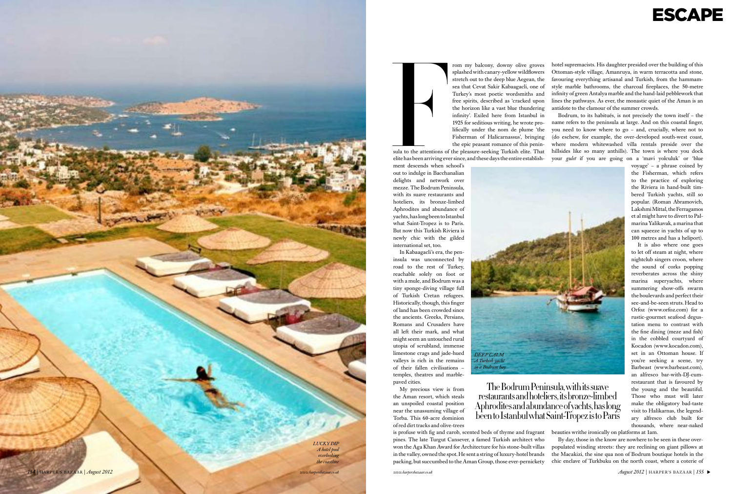ESCAPE

infinity'. Exiled here from Istanbul in 1925 for seditious writing, he wrote pro lifically under the nom de plume 'the Fisherman of Halicarnassus', bringing the epic peasant romance of this penin sula to the attentions of the pleasure-seeking Turkish elite. That elite has been arriving ever since, and these days the entire establish -

ment descends when school's out to indulge in Bacchanalian delights and network over mezze. The Bodrum Peninsula, with its suave restaurants and hoteliers, its bronze-limbed Aphrodites and abundance of yachts, has long been to Istanbul what Saint-Tropez is to Paris. But now this Turkish Riviera is newly chic with the gilded international set, too.

In Kabaagacli's era, the pen insula was unconnected by road to the rest of Turkey, reachable solely on foot or with a mule, and Bodrum was a tiny sponge-diving village full of Turkish Cretan refugees. Historically, though, this finger of land has been crowded since the ancients. Greeks, Persians, Romans and Crusaders have all left their mark, and what might seem an untouched rural utopia of scrubland, immense limestone crags and jade-hued valleys is rich in the remains of their fallen civilisations – temples, theatres and marblepaved cities.

rom my balcony, downy olive groves splashed with canary-yellow wildflowers stretch out to the deep blue Aegean, the sea that Cevat Sakir Kabaagacli, one of Turkey's most poetic wordsmiths and free spirits, described as 'cracked upon the horizon like a vast blue thundering hotel supremacists. His daughter presided over the building of this Ottoman-style village, Amanruya, in warm terracotta and stone, favouring everything artisanal and Turkish, from the hammamstyle marble bathrooms, the charcoal fireplaces, the 50-metre infinity of green Antalya marble and the hand-laid pebblework that lines the pathways. As ever, the monastic quiet of the Aman is an antidote to the clamour of the summer crowds. Bodrum, to its habitués, is not precisely the town itself – the name refers to the peninsula at large. And on this coastal finger, you need to know where to go – and, crucially, where not to (do eschew, for example, the over-developed south-west coast, where modern whitewashed villa rentals preside over the hillsides like so many anthills). The town is where you dock your *gulet* if you are going on a 'mavi yolculuk' or 'blue

My precious view is from the Aman resort, which steals an unspoiled coastal position near the unassuming village of Torba. This 60-acre dominion of red dirt tracks and olive-trees



Finally and the attentions of the attentions of the attentions of the attentions of the solution and the second of the second of the second of the second of the second of the second of the second of the second of the secon

is profuse with fig and carob, scented beds of thyme and fragrant pines. The late Turgut Cansever, a famed Turkish architect who won the Aga Khan Award for Architecture for his stone-built villas in the valley, owned the spot. He sent a string of luxury-hotel brands packing, but succumbed to the Aman Group, those ever-pernickety thousands, where near-naked beauties writhe ironically on platforms at 1am. By day, those in the know are nowhere to be seen in these over populated winding streets: they are reclining on giant pillows at the Macakizi, the sine qua non of Bodrum boutique hotels in the chic enclave of Turkbuku on the north coast, where a coterie of

voyage' – a phrase coined by the Fisherman, which refers to the practice of exploring the Riviera in hand-built tim bered Turkish yachts, still so popular. ( Roman Abramovich, Lakshmi Mittal, the Ferragamos et al might have to divert to Pal marina Yalikavak, a marina that can squeeze in yachts of up to 100 metres and has a heliport).

It is also where one goes to let off steam at night, where nightclub singers croon, where the sound of corks popping reverberates across the shiny marina superyachts, where summering show-offs swarm the boulevards and perfect their see-and-be-seen struts. Head to Orfoz (www.orfoz.com) for a rustic-gourmet seafood degus tation menu to contrast with the fine dining (meze and fish) in the cobbled courtyard of Kocadon (www.kocadon.com), set in an Ottoman house. If you're seeking a scene, try Barbeast (www.barbeast.com), an alfresco bar-with-DJ-cumrestaurant that is favoured by the young and the beautiful. Those who must will later make the obligatory bad-taste visit to Halikarnas, the legend ary alfresco club built for



been to Istanbul what Saint-Tropez is to Paris

The Bodrum Peninsula, with its suave restaurants and hoteliers, its bronze-limbed Aphrodites and abundance of yachts, has long